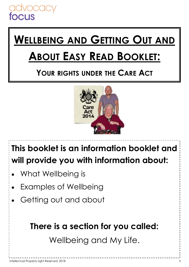## **WELLBEING AND GETTING OUT AND**

## **ABOUT EASY READ BOOKLET:**

#### **YOUR RIGHTS UNDER THE CARE ACT**



#### **This booklet is an information booklet and will provide you with information about:**

- What Wellbeing is
- Examples of Wellbeing
- Getting out and about

#### **There is a section for you called:**

Wellbeing and My Life.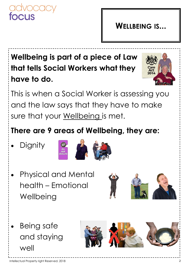

#### **WELLBEING IS...**

#### **Wellbeing is part of a piece of Law that tells Social Workers what they have to do.**



This is when a Social Worker is assessing you and the law says that they have to make sure that your Wellbeing is met.

#### **There are 9 areas of Wellbeing, they are:**

**Dignity** 



- Physical and Mental health – Emotional **Wellbeing**
- 

 Being safe and staying well

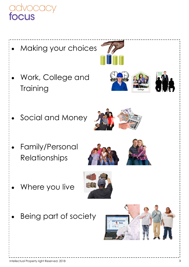

- Making your choices
- Work, College and **Training**







Social and Money



 Family/Personal Relationships





Where you live



Being part of society

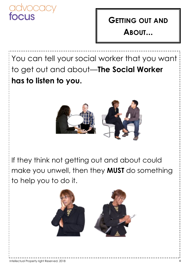

#### **GETTING OUT AND ABOUT...**

You can tell your social worker that you want to get out and about—**The Social Worker has to listen to you.**



If they think not getting out and about could make you unwell, then they **MUST** do something to help you to do it.

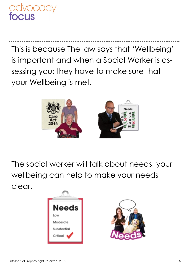

This is because The law says that 'Wellbeing' is important and when a Social Worker is assessing you; they have to make sure that your Wellbeing is met.



The social worker will talk about needs, your wellbeing can help to make your needs clear.



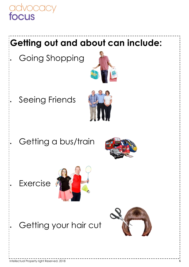#### **Getting out and about can include:**

Going Shopping



Seeing Friends



Getting a bus/train



Exercise



#### Getting your hair cut

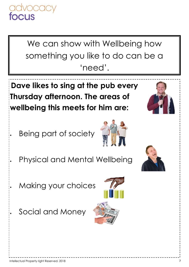We can show with Wellbeing how something you like to do can be a 'need'.

**Dave likes to sing at the pub every Thursday afternoon. The areas of wellbeing this meets for him are:**

Being part of society

Physical and Mental Wellbeing

Making your choices

Social and Money





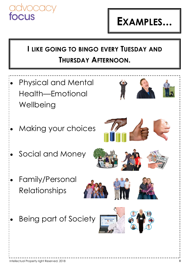### **EXAMPLES...**

#### **I LIKE GOING TO BINGO EVERY TUESDAY AND THURSDAY AFTERNOON.**

- Physical and Mental Health—Emotional **Wellbeing**
- Making your choices
- Social and Money
- Family/Personal Relationships



Being part of Society



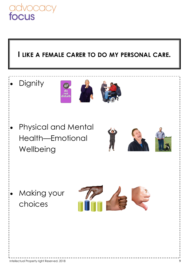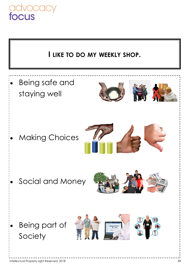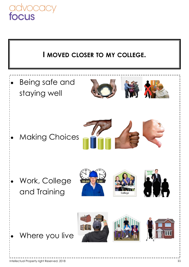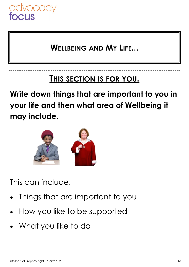

#### **WELLBEING AND MY LIFE...**

#### **THIS SECTION IS FOR YOU.**

**Write down things that are important to you in your life and then what area of Wellbeing it may include.** 



This can include:

- Things that are important to you
- How you like to be supported
- What you like to do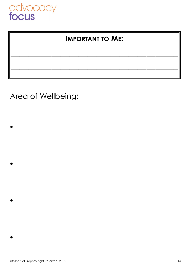

 $\bullet$ 

 $\bullet$ 

 $\bullet$ 

 $\bullet$ 

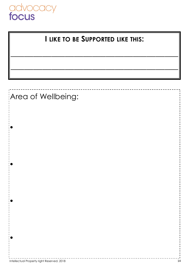

#### **I LIKE TO BE SUPPORTED LIKE THIS:**

**\_\_\_\_\_\_\_\_\_\_\_\_\_\_\_\_\_\_\_\_\_\_\_\_\_\_\_\_\_\_\_\_\_\_\_\_\_**

**\_\_\_\_\_\_\_\_\_\_\_\_\_\_\_\_\_\_\_\_\_\_\_\_\_\_\_\_\_\_\_\_\_\_\_\_\_**

#### Area of Wellbeing:

 $\bullet$ 

 $\bullet$ 

 $\bullet$ 

 $\bullet$ 

Intellectual Property right Reserved. 2018 14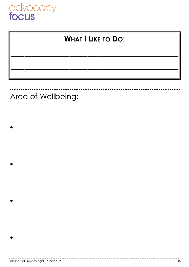



#### Area of Wellbeing:

 $\bullet$ 

 $\bullet$ 

 $\bullet$ 

 $\bullet$ 

Intellectual Property right Reserved. 2018 15